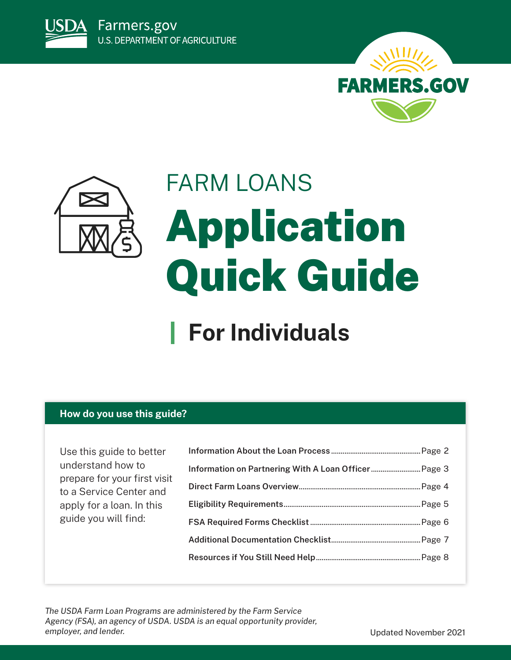





# FARM LOANS Application Quick Guide

## **For Individuals**

## **How do you use this guide?**

Use this guide to better understand how to prepare for your first visit to a Service Center and apply for a loan. In this guide you will find:

*The USDA Farm Loan Programs are administered by the Farm Service Agency (FSA), an agency of USDA. USDA is an equal opportunity provider,*  employer, and lender. The same of the same of the set of the set of the Updated November 2021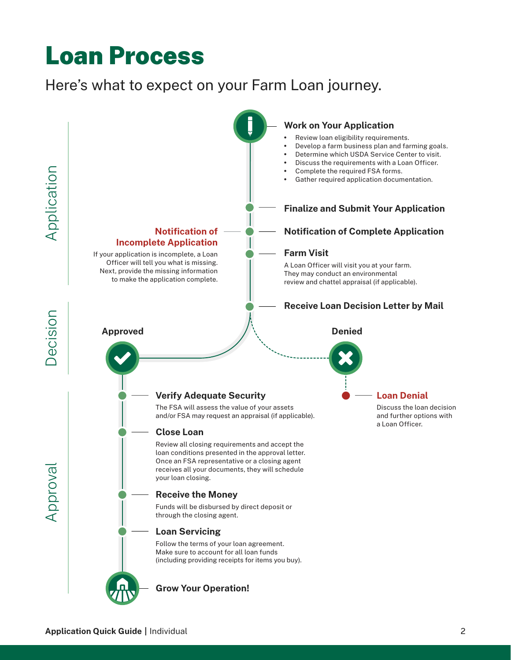## <span id="page-1-0"></span>Loan Process

## Here's what to expect on your Farm Loan journey.

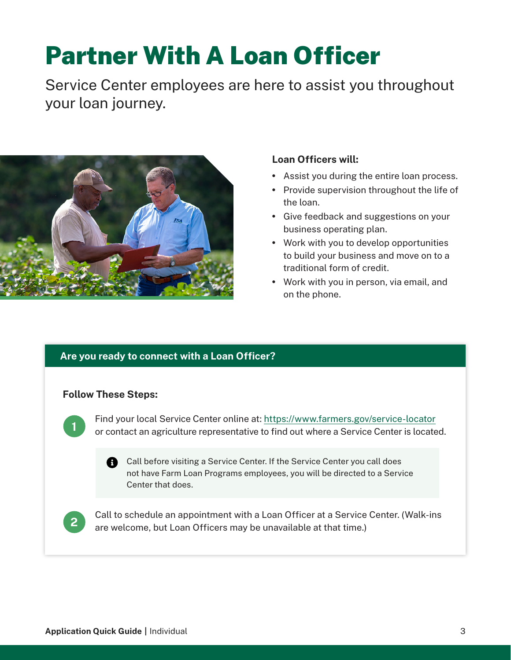## <span id="page-2-0"></span>Partner With A Loan Officer

Service Center employees are here to assist you throughout your loan journey.



## **Loan Officers will:**

- Assist you during the entire loan process.
- Provide supervision throughout the life of the loan.
- Give feedback and suggestions on your business operating plan.
- Work with you to develop opportunities to build your business and move on to a traditional form of credit.
- Work with you in person, via email, and on the phone.

## **Are you ready to connect with a Loan Officer?**

## **Follow These Steps:**



Find your local Service Center online at:<https://www.farmers.gov/service-locator> or contact an agriculture representative to find out where a Service Center is located.

**Call before visiting a Service Center. If the Service Center you call does** not have Farm Loan Programs employees, you will be directed to a Service Center that does.



Call to schedule an appointment with a Loan Officer at a Service Center. (Walk-ins are welcome, but Loan Officers may be unavailable at that time.)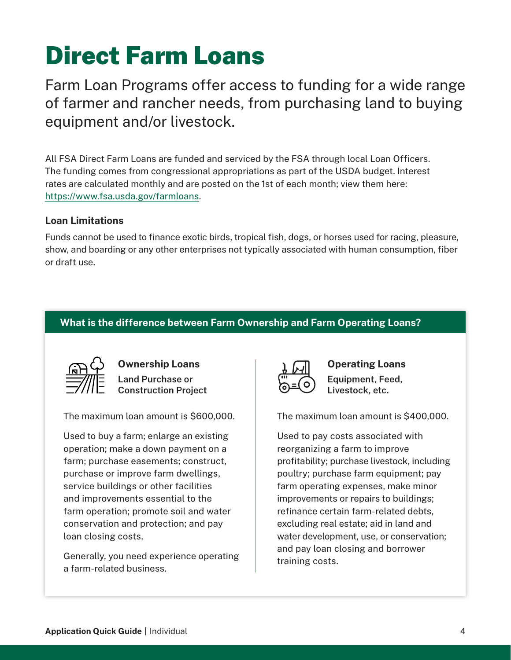## <span id="page-3-0"></span>Direct Farm Loans

Farm Loan Programs offer access to funding for a wide range of farmer and rancher needs, from purchasing land to buying equipment and/or livestock.

All FSA Direct Farm Loans are funded and serviced by the FSA through local Loan Officers. The funding comes from congressional appropriations as part of the USDA budget. Interest rates are calculated monthly and are posted on the 1st of each month; view them here: [https://www.fsa.usda.gov/farmloans.](https://www.fsa.usda.gov/farmloans)

### **Loan Limitations**

Funds cannot be used to finance exotic birds, tropical fish, dogs, or horses used for racing, pleasure, show, and boarding or any other enterprises not typically associated with human consumption, fiber or draft use.

## **What is the difference between Farm Ownership and Farm Operating Loans?**



**Ownership Loans Land Purchase or Construction Project**

The maximum loan amount is \$600,000.

Used to buy a farm; enlarge an existing operation; make a down payment on a farm; purchase easements; construct, purchase or improve farm dwellings, service buildings or other facilities and improvements essential to the farm operation; promote soil and water conservation and protection; and pay loan closing costs.

Generally, you need experience operating a farm-related business.



**Operating Loans Equipment, Feed, Livestock, etc.**

The maximum loan amount is \$400,000.

Used to pay costs associated with reorganizing a farm to improve profitability; purchase livestock, including poultry; purchase farm equipment; pay farm operating expenses, make minor improvements or repairs to buildings; refinance certain farm-related debts, excluding real estate; aid in land and water development, use, or conservation; and pay loan closing and borrower training costs.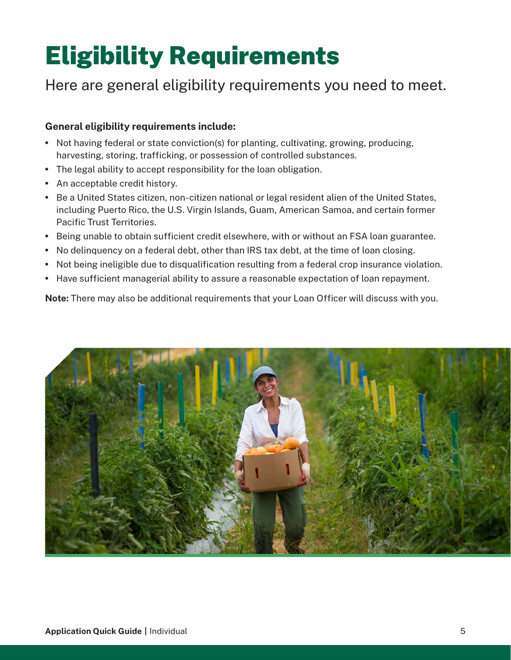## <span id="page-4-0"></span>Eligibility Requirements

## Here are general eligibility requirements you need to meet.

### **General eligibility requirements include:**

- Not having federal or state conviction(s) for planting, cultivating, growing, producing, harvesting, storing, trafficking, or possession of controlled substances.
- The legal ability to accept responsibility for the loan obligation.
- An acceptable credit history.
- Be a United States citizen, non-citizen national or legal resident alien of the United States, including Puerto Rico, the U.S. Virgin Islands, Guam, American Samoa, and certain former Pacific Trust Territories.
- Being unable to obtain sufficient credit elsewhere, with or without an FSA loan guarantee.
- No delinquency on a federal debt, other than IRS tax debt, at the time of loan closing.
- Not being ineligible due to disqualification resulting from a federal crop insurance violation.
- Have sufficient managerial ability to assure a reasonable expectation of loan repayment.

**Note:** There may also be additional requirements that your Loan Officer will discuss with you.

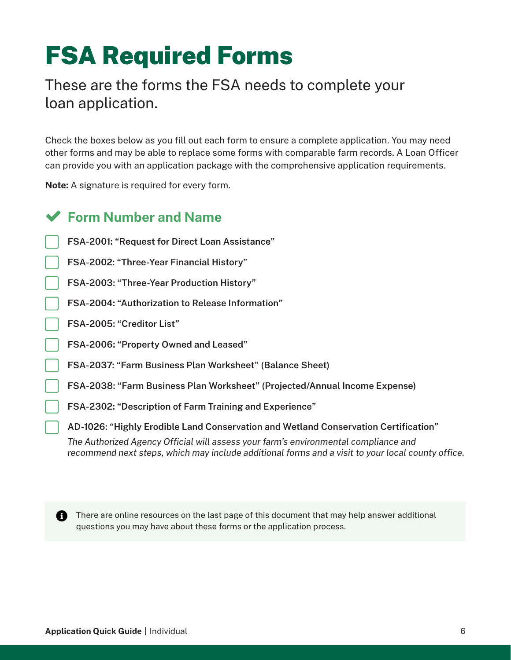## <span id="page-5-0"></span>FSA Required Forms

## These are the forms the FSA needs to complete your loan application.

Check the boxes below as you fill out each form to ensure a complete application. You may need other forms and may be able to replace some forms with comparable farm records. A Loan Officer can provide you with an application package with the comprehensive application requirements.

**Note:** A signature is required for every form.

## **Form Number and Name**

- **FSA-2001: "Request for Direct Loan Assistance"**
- **FSA-2002: "Three-Year Financial History"**
- **FSA-2003: "Three-Year Production History"**
- **FSA-2004: "Authorization to Release Information"**
- **FSA-2005: "Creditor List"**
- **FSA-2006: "Property Owned and Leased"**
- **FSA-2037: "Farm Business Plan Worksheet" (Balance Sheet)**
- **FSA-2038: "Farm Business Plan Worksheet" (Projected/Annual Income Expense)**
- **FSA-2302: "Description of Farm Training and Experience"**
- **AD-1026: "Highly Erodible Land Conservation and Wetland Conservation Certification"**

*The Authorized Agency Official will assess your farm's environmental compliance and recommend next steps, which may include additional forms and a visit to your local county office.*



**f** There are online resources on the last page of this document that may help answer additional questions you may have about these forms or the application process.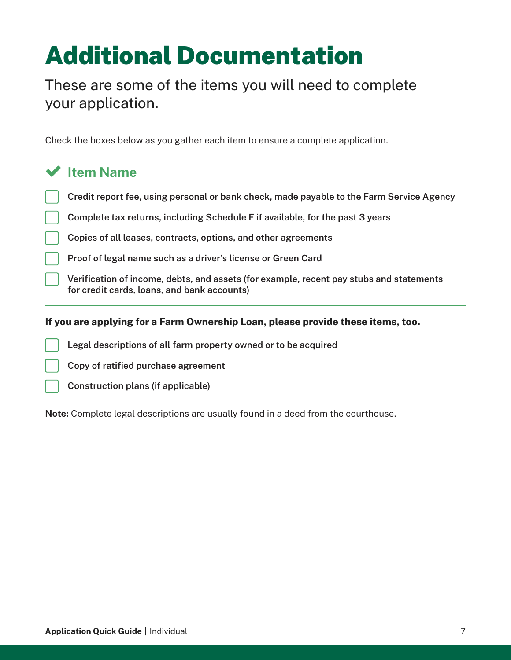## <span id="page-6-0"></span>Additional Documentation

These are some of the items you will need to complete your application.

Check the boxes below as you gather each item to ensure a complete application.

## **Item Name**

- **Credit report fee, using personal or bank check, made payable to the Farm Service Agency**
- **Complete tax returns, including Schedule F if available, for the past 3 years**
	- **Copies of all leases, contracts, options, and other agreements**
	- **Proof of legal name such as a driver's license or Green Card**
	- **Verification of income, debts, and assets (for example, recent pay stubs and statements for credit cards, loans, and bank accounts)**

### **If you are applying for a Farm Ownership Loan, please provide these items, too.**

- **Legal descriptions of all farm property owned or to be acquired**
- **Copy of ratified purchase agreement**
- **Construction plans (if applicable)**

**Note:** Complete legal descriptions are usually found in a deed from the courthouse.